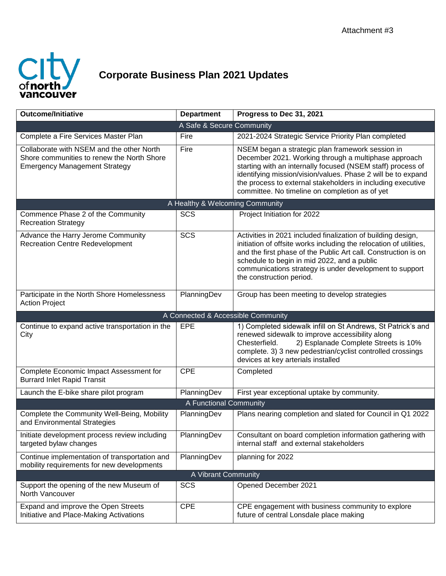

## **Corporate Business Plan 2021 Updates**

| <b>Outcome/Initiative</b>                                                                                                       | <b>Department</b>                  | Progress to Dec 31, 2021                                                                                                                                                                                                                                                                                                                                 |  |  |
|---------------------------------------------------------------------------------------------------------------------------------|------------------------------------|----------------------------------------------------------------------------------------------------------------------------------------------------------------------------------------------------------------------------------------------------------------------------------------------------------------------------------------------------------|--|--|
|                                                                                                                                 | A Safe & Secure Community          |                                                                                                                                                                                                                                                                                                                                                          |  |  |
| Complete a Fire Services Master Plan                                                                                            | Fire                               | 2021-2024 Strategic Service Priority Plan completed                                                                                                                                                                                                                                                                                                      |  |  |
| Collaborate with NSEM and the other North<br>Shore communities to renew the North Shore<br><b>Emergency Management Strategy</b> | Fire                               | NSEM began a strategic plan framework session in<br>December 2021. Working through a multiphase approach<br>starting with an internally focused (NSEM staff) process of<br>identifying mission/vision/values. Phase 2 will be to expand<br>the process to external stakeholders in including executive<br>committee. No timeline on completion as of yet |  |  |
| A Healthy & Welcoming Community                                                                                                 |                                    |                                                                                                                                                                                                                                                                                                                                                          |  |  |
| Commence Phase 2 of the Community<br><b>Recreation Strategy</b>                                                                 | <b>SCS</b>                         | Project Initiation for 2022                                                                                                                                                                                                                                                                                                                              |  |  |
| Advance the Harry Jerome Community<br><b>Recreation Centre Redevelopment</b>                                                    | SCS                                | Activities in 2021 included finalization of building design,<br>initiation of offsite works including the relocation of utilities,<br>and the first phase of the Public Art call. Construction is on<br>schedule to begin in mid 2022, and a public<br>communications strategy is under development to support<br>the construction period.               |  |  |
| Participate in the North Shore Homelessness<br><b>Action Project</b>                                                            | PlanningDev                        | Group has been meeting to develop strategies                                                                                                                                                                                                                                                                                                             |  |  |
|                                                                                                                                 | A Connected & Accessible Community |                                                                                                                                                                                                                                                                                                                                                          |  |  |
| Continue to expand active transportation in the<br>City                                                                         | EPE                                | 1) Completed sidewalk infill on St Andrews, St Patrick's and<br>renewed sidewalk to improve accessibility along<br>2) Esplanade Complete Streets is 10%<br>Chesterfield.<br>complete. 3) 3 new pedestrian/cyclist controlled crossings<br>devices at key arterials installed                                                                             |  |  |
| Complete Economic Impact Assessment for<br><b>Burrard Inlet Rapid Transit</b>                                                   | <b>CPE</b>                         | Completed                                                                                                                                                                                                                                                                                                                                                |  |  |
| Launch the E-bike share pilot program                                                                                           | PlanningDev                        | First year exceptional uptake by community.                                                                                                                                                                                                                                                                                                              |  |  |
| A Functional Community                                                                                                          |                                    |                                                                                                                                                                                                                                                                                                                                                          |  |  |
| Complete the Community Well-Being, Mobility<br>and Environmental Strategies                                                     | PlanningDev                        | Plans nearing completion and slated for Council in Q1 2022                                                                                                                                                                                                                                                                                               |  |  |
| Initiate development process review including<br>targeted bylaw changes                                                         | PlanningDev                        | Consultant on board completion information gathering with<br>internal staff and external stakeholders                                                                                                                                                                                                                                                    |  |  |
| Continue implementation of transportation and<br>mobility requirements for new developments                                     | PlanningDev                        | planning for 2022                                                                                                                                                                                                                                                                                                                                        |  |  |
| A Vibrant Community                                                                                                             |                                    |                                                                                                                                                                                                                                                                                                                                                          |  |  |
| Support the opening of the new Museum of<br>North Vancouver                                                                     | SCS                                | Opened December 2021                                                                                                                                                                                                                                                                                                                                     |  |  |
| Expand and improve the Open Streets<br>Initiative and Place-Making Activations                                                  | <b>CPE</b>                         | CPE engagement with business community to explore<br>future of central Lonsdale place making                                                                                                                                                                                                                                                             |  |  |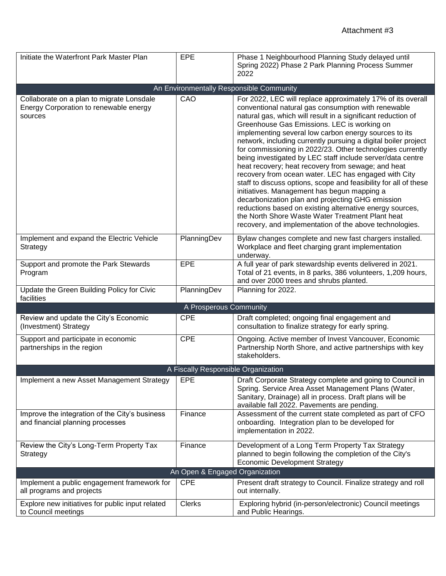| Initiate the Waterfront Park Master Plan                                                       | EPE                    | Phase 1 Neighbourhood Planning Study delayed until<br>Spring 2022) Phase 2 Park Planning Process Summer<br>2022                                                                                                                                                                                                                                                                                                                                                                                                                                                                                                                                                                                                                                                               |  |  |
|------------------------------------------------------------------------------------------------|------------------------|-------------------------------------------------------------------------------------------------------------------------------------------------------------------------------------------------------------------------------------------------------------------------------------------------------------------------------------------------------------------------------------------------------------------------------------------------------------------------------------------------------------------------------------------------------------------------------------------------------------------------------------------------------------------------------------------------------------------------------------------------------------------------------|--|--|
|                                                                                                |                        |                                                                                                                                                                                                                                                                                                                                                                                                                                                                                                                                                                                                                                                                                                                                                                               |  |  |
|                                                                                                |                        | An Environmentally Responsible Community                                                                                                                                                                                                                                                                                                                                                                                                                                                                                                                                                                                                                                                                                                                                      |  |  |
| Collaborate on a plan to migrate Lonsdale<br>Energy Corporation to renewable energy<br>sources | CAO                    | For 2022, LEC will replace approximately 17% of its overall<br>conventional natural gas consumption with renewable<br>natural gas, which will result in a significant reduction of<br>Greenhouse Gas Emissions. LEC is working on<br>implementing several low carbon energy sources to its<br>network, including currently pursuing a digital boiler project<br>for commissioning in 2022/23. Other technologies currently<br>being investigated by LEC staff include server/data centre<br>heat recovery; heat recovery from sewage; and heat<br>recovery from ocean water. LEC has engaged with City<br>staff to discuss options, scope and feasibility for all of these<br>initiatives. Management has begun mapping a<br>decarbonization plan and projecting GHG emission |  |  |
|                                                                                                |                        | reductions based on existing alternative energy sources,<br>the North Shore Waste Water Treatment Plant heat<br>recovery, and implementation of the above technologies.                                                                                                                                                                                                                                                                                                                                                                                                                                                                                                                                                                                                       |  |  |
| Implement and expand the Electric Vehicle<br>Strategy                                          | PlanningDev            | Bylaw changes complete and new fast chargers installed.<br>Workplace and fleet charging grant implementation<br>underway.                                                                                                                                                                                                                                                                                                                                                                                                                                                                                                                                                                                                                                                     |  |  |
| Support and promote the Park Stewards<br>Program                                               | EPE                    | A full year of park stewardship events delivered in 2021.<br>Total of 21 events, in 8 parks, 386 volunteers, 1,209 hours,<br>and over 2000 trees and shrubs planted.                                                                                                                                                                                                                                                                                                                                                                                                                                                                                                                                                                                                          |  |  |
| Update the Green Building Policy for Civic<br>facilities                                       | PlanningDev            | Planning for 2022.                                                                                                                                                                                                                                                                                                                                                                                                                                                                                                                                                                                                                                                                                                                                                            |  |  |
|                                                                                                | A Prosperous Community |                                                                                                                                                                                                                                                                                                                                                                                                                                                                                                                                                                                                                                                                                                                                                                               |  |  |
| Review and update the City's Economic<br>(Investment) Strategy                                 | <b>CPE</b>             | Draft completed; ongoing final engagement and<br>consultation to finalize strategy for early spring.                                                                                                                                                                                                                                                                                                                                                                                                                                                                                                                                                                                                                                                                          |  |  |
| Support and participate in economic<br>partnerships in the region                              | <b>CPE</b>             | Ongoing. Active member of Invest Vancouver, Economic<br>Partnership North Shore, and active partnerships with key<br>stakeholders.                                                                                                                                                                                                                                                                                                                                                                                                                                                                                                                                                                                                                                            |  |  |
| A Fiscally Responsible Organization                                                            |                        |                                                                                                                                                                                                                                                                                                                                                                                                                                                                                                                                                                                                                                                                                                                                                                               |  |  |
| Implement a new Asset Management Strategy                                                      | EPE                    | Draft Corporate Strategy complete and going to Council in<br>Spring. Service Area Asset Management Plans (Water,<br>Sanitary, Drainage) all in process. Draft plans will be<br>available fall 2022. Pavements are pending.                                                                                                                                                                                                                                                                                                                                                                                                                                                                                                                                                    |  |  |
| Improve the integration of the City's business<br>and financial planning processes             | Finance                | Assessment of the current state completed as part of CFO<br>onboarding. Integration plan to be developed for<br>implementation in 2022.                                                                                                                                                                                                                                                                                                                                                                                                                                                                                                                                                                                                                                       |  |  |
| Review the City's Long-Term Property Tax<br>Strategy                                           | Finance                | Development of a Long Term Property Tax Strategy<br>planned to begin following the completion of the City's<br><b>Economic Development Strategy</b>                                                                                                                                                                                                                                                                                                                                                                                                                                                                                                                                                                                                                           |  |  |
| An Open & Engaged Organization                                                                 |                        |                                                                                                                                                                                                                                                                                                                                                                                                                                                                                                                                                                                                                                                                                                                                                                               |  |  |
| Implement a public engagement framework for<br>all programs and projects                       | <b>CPE</b>             | Present draft strategy to Council. Finalize strategy and roll<br>out internally.                                                                                                                                                                                                                                                                                                                                                                                                                                                                                                                                                                                                                                                                                              |  |  |
| Explore new initiatives for public input related<br>to Council meetings                        | <b>Clerks</b>          | Exploring hybrid (in-person/electronic) Council meetings<br>and Public Hearings.                                                                                                                                                                                                                                                                                                                                                                                                                                                                                                                                                                                                                                                                                              |  |  |